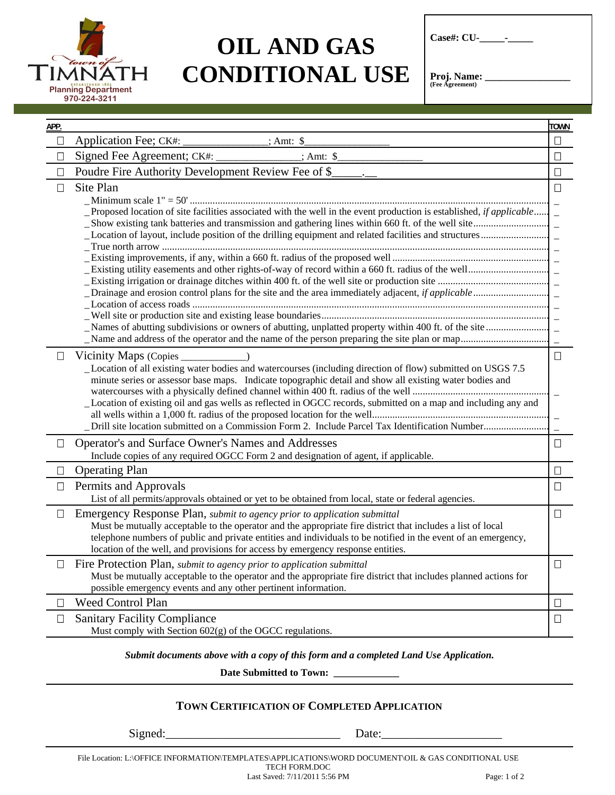

## **OIL AND GAS CONDITIONAL USE**

| <b>Case#: CU-</b> |  |  |  |
|-------------------|--|--|--|
|-------------------|--|--|--|

**Proj. Name: \_\_\_\_\_\_\_\_\_\_\_\_\_\_\_\_\_\_\_**<br>(Fee Agreement)

| APP.   |                                                                                                                                                                                                                                                                                                                                                                                                                                                                   | <b>TOWN</b> |
|--------|-------------------------------------------------------------------------------------------------------------------------------------------------------------------------------------------------------------------------------------------------------------------------------------------------------------------------------------------------------------------------------------------------------------------------------------------------------------------|-------------|
| $\Box$ | Application Fee; CK#:<br>$\therefore$ Amt: \$                                                                                                                                                                                                                                                                                                                                                                                                                     | $\Box$      |
| $\Box$ | Signed Fee Agreement; CK#:<br>$; Amt:$ \$                                                                                                                                                                                                                                                                                                                                                                                                                         | $\Box$      |
| $\Box$ | Poudre Fire Authority Development Review Fee of \$                                                                                                                                                                                                                                                                                                                                                                                                                | $\Box$      |
| $\Box$ | Site Plan<br>Proposed location of site facilities associated with the well in the event production is established, <i>if applicable</i>                                                                                                                                                                                                                                                                                                                           | $\Box$      |
|        |                                                                                                                                                                                                                                                                                                                                                                                                                                                                   |             |
| $\Box$ | Vicinity Maps (Copies<br>Location of all existing water bodies and watercourses (including direction of flow) submitted on USGS 7.5<br>minute series or assessor base maps. Indicate topographic detail and show all existing water bodies and<br>Location of existing oil and gas wells as reflected in OGCC records, submitted on a map and including any and<br>Drill site location submitted on a Commission Form 2. Include Parcel Tax Identification Number | $\Box$      |
| $\Box$ | Operator's and Surface Owner's Names and Addresses<br>Include copies of any required OGCC Form 2 and designation of agent, if applicable.                                                                                                                                                                                                                                                                                                                         | $\Box$      |
| □      | <b>Operating Plan</b>                                                                                                                                                                                                                                                                                                                                                                                                                                             | □           |
| $\Box$ | Permits and Approvals<br>List of all permits/approvals obtained or yet to be obtained from local, state or federal agencies.                                                                                                                                                                                                                                                                                                                                      | $\Box$      |
| $\Box$ | Emergency Response Plan, <i>submit to agency prior to application submittal</i><br>Must be mutually acceptable to the operator and the appropriate fire district that includes a list of local<br>telephone numbers of public and private entities and individuals to be notified in the event of an emergency,<br>location of the well, and provisions for access by emergency response entities.                                                                | $\Box$      |
|        | Fire Protection Plan, submit to agency prior to application submittal<br>Must be mutually acceptable to the operator and the appropriate fire district that includes planned actions for<br>possible emergency events and any other pertinent information.                                                                                                                                                                                                        | $\Box$      |
| $\Box$ | <b>Weed Control Plan</b>                                                                                                                                                                                                                                                                                                                                                                                                                                          | $\Box$      |
| $\Box$ | <b>Sanitary Facility Compliance</b><br>Must comply with Section $602(g)$ of the OGCC regulations.                                                                                                                                                                                                                                                                                                                                                                 | $\Box$      |

*Submit documents above with a copy of this form and a completed Land Use Application.* 

**Date Submitted to Town: \_\_\_\_\_\_\_\_\_\_\_\_\_** 

## **TOWN CERTIFICATION OF COMPLETED APPLICATION**

Signed:\_\_\_\_\_\_\_\_\_\_\_\_\_\_\_\_\_\_\_\_\_\_\_\_\_\_\_\_\_ Date:\_\_\_\_\_\_\_\_\_\_\_\_\_\_\_\_\_\_\_\_

File Location: L:\OFFICE INFORMATION\TEMPLATES\APPLICATIONS\WORD DOCUMENT\OIL & GAS CONDITIONAL USE TECH FORM.DOC

Last Saved: 7/11/2011 5:56 PM Page: 1 of 2